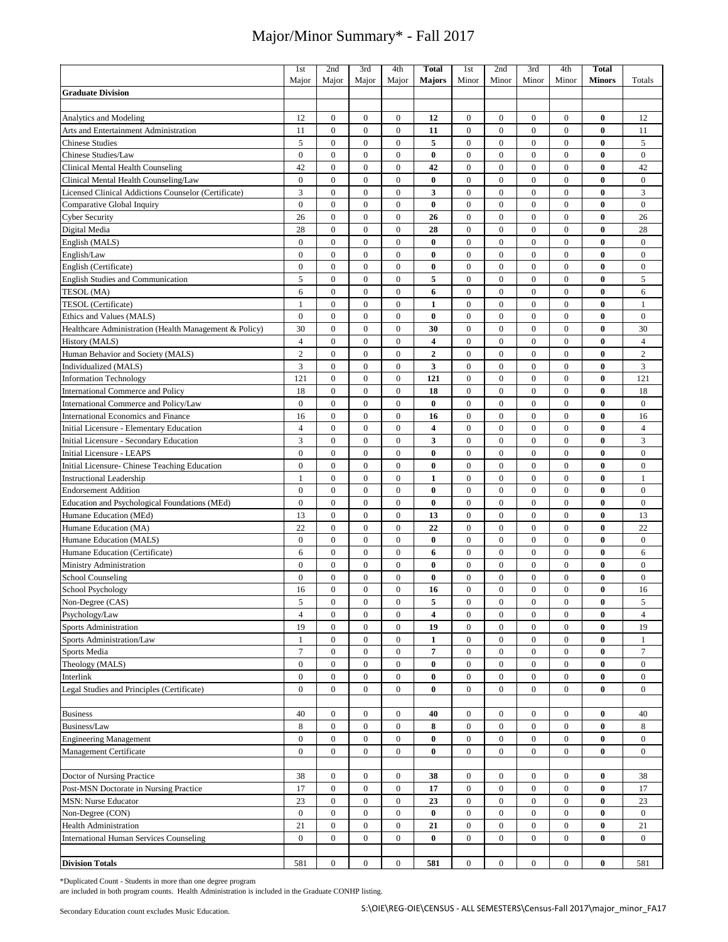|                                                                   | 1st<br>Major       | 2nd<br>Major                     | 3rd<br>Major                 | 4th<br>Major                 | <b>Total</b><br><b>Majors</b> | 1st<br>Minor                         | 2nd<br>Minor                         | 3rd<br>Minor                 | 4th<br>Minor                   | <b>Total</b><br><b>Minors</b> | Totals                   |
|-------------------------------------------------------------------|--------------------|----------------------------------|------------------------------|------------------------------|-------------------------------|--------------------------------------|--------------------------------------|------------------------------|--------------------------------|-------------------------------|--------------------------|
| <b>Graduate Division</b>                                          |                    |                                  |                              |                              |                               |                                      |                                      |                              |                                |                               |                          |
|                                                                   |                    |                                  |                              |                              |                               |                                      |                                      |                              |                                |                               |                          |
| <b>Analytics and Modeling</b>                                     | 12                 | $\boldsymbol{0}$                 | $\boldsymbol{0}$             | $\boldsymbol{0}$             | 12                            | $\boldsymbol{0}$                     | $\boldsymbol{0}$                     | $\boldsymbol{0}$             | $\mathbf{0}$                   | $\bf{0}$                      | 12                       |
| Arts and Entertainment Administration                             | 11                 | $\boldsymbol{0}$                 | $\boldsymbol{0}$             | $\boldsymbol{0}$             | 11                            | $\boldsymbol{0}$                     | $\boldsymbol{0}$                     | $\boldsymbol{0}$             | $\mathbf{0}$                   | $\bf{0}$                      | 11                       |
| <b>Chinese Studies</b>                                            | 5                  | $\boldsymbol{0}$                 | $\boldsymbol{0}$             | $\boldsymbol{0}$             | 5                             | $\boldsymbol{0}$                     | $\boldsymbol{0}$                     | $\boldsymbol{0}$             | $\boldsymbol{0}$               | $\bf{0}$                      | 5                        |
| Chinese Studies/Law                                               | $\overline{0}$     | $\boldsymbol{0}$                 | $\boldsymbol{0}$             | $\boldsymbol{0}$             | 0                             | $\boldsymbol{0}$                     | $\boldsymbol{0}$                     | $\boldsymbol{0}$             | $\mathbf{0}$                   | $\bf{0}$                      | $\bf{0}$                 |
| Clinical Mental Health Counseling                                 | 42                 | $\boldsymbol{0}$                 | $\boldsymbol{0}$             | $\boldsymbol{0}$             | 42                            | $\boldsymbol{0}$                     | $\boldsymbol{0}$                     | $\boldsymbol{0}$             | $\mathbf{0}$                   | $\bf{0}$                      | 42                       |
| Clinical Mental Health Counseling/Law                             | $\overline{0}$     | $\overline{0}$                   | $\mathbf{0}$                 | $\boldsymbol{0}$             | $\bf{0}$                      | $\boldsymbol{0}$                     | $\boldsymbol{0}$                     | $\mathbf{0}$                 | $\overline{0}$                 | $\bf{0}$                      | $\bf{0}$                 |
| Licensed Clinical Addictions Counselor (Certificate)              | 3                  | $\overline{0}$                   | $\boldsymbol{0}$             | $\boldsymbol{0}$             | 3                             | $\boldsymbol{0}$                     | $\boldsymbol{0}$                     | $\boldsymbol{0}$             | $\mathbf{0}$                   | $\bf{0}$                      | $\mathfrak{Z}$           |
| Comparative Global Inquiry                                        | $\mathbf{0}$       | $\mathbf{0}$                     | $\mathbf{0}$                 | $\mathbf{0}$                 | $\bf{0}$                      | $\boldsymbol{0}$                     | $\boldsymbol{0}$                     | $\boldsymbol{0}$             | $\overline{0}$                 | $\bf{0}$                      | $\mathbf{0}$             |
| <b>Cyber Security</b>                                             | 26                 | $\boldsymbol{0}$                 | $\boldsymbol{0}$             | $\boldsymbol{0}$             | 26                            | $\boldsymbol{0}$                     | $\boldsymbol{0}$                     | $\boldsymbol{0}$             | $\boldsymbol{0}$               | $\bf{0}$                      | 26                       |
| Digital Media                                                     | 28<br>$\mathbf{0}$ | $\overline{0}$<br>$\overline{0}$ | $\mathbf{0}$<br>$\mathbf{0}$ | $\mathbf{0}$<br>$\mathbf{0}$ | 28<br>$\bf{0}$                | $\boldsymbol{0}$                     | $\boldsymbol{0}$                     | $\mathbf{0}$<br>$\mathbf{0}$ | $\overline{0}$<br>$\mathbf{0}$ | $\bf{0}$<br>$\bf{0}$          | 28                       |
| English (MALS)<br>English/Law                                     | $\overline{0}$     | $\overline{0}$                   | $\mathbf{0}$                 | $\boldsymbol{0}$             | $\bf{0}$                      | $\boldsymbol{0}$<br>$\boldsymbol{0}$ | $\boldsymbol{0}$<br>$\boldsymbol{0}$ | $\boldsymbol{0}$             | $\overline{0}$                 | $\bf{0}$                      | $\bf{0}$<br>$\mathbf{0}$ |
|                                                                   | $\overline{0}$     | $\overline{0}$                   | $\boldsymbol{0}$             | $\boldsymbol{0}$             | $\bf{0}$                      | $\boldsymbol{0}$                     | $\boldsymbol{0}$                     | $\boldsymbol{0}$             | $\boldsymbol{0}$               | $\bf{0}$                      | $\boldsymbol{0}$         |
| English (Certificate)<br><b>English Studies and Communication</b> | 5                  | $\overline{0}$                   | $\mathbf{0}$                 | $\mathbf{0}$                 | 5                             | $\boldsymbol{0}$                     | $\boldsymbol{0}$                     | $\mathbf{0}$                 | $\overline{0}$                 | $\bf{0}$                      | 5                        |
| TESOL (MA)                                                        | 6                  | $\overline{0}$                   | $\mathbf{0}$                 | $\mathbf{0}$                 | 6                             | $\mathbf{0}$                         | $\boldsymbol{0}$                     | $\mathbf{0}$                 | $\mathbf{0}$                   | $\bf{0}$                      | 6                        |
| TESOL (Certificate)                                               | 1                  | $\overline{0}$                   | $\boldsymbol{0}$             | $\boldsymbol{0}$             | 1                             | $\boldsymbol{0}$                     | $\boldsymbol{0}$                     | $\mathbf{0}$                 | $\overline{0}$                 | $\bf{0}$                      | $\mathbf{1}$             |
| Ethics and Values (MALS)                                          | $\mathbf{0}$       | $\overline{0}$                   | $\boldsymbol{0}$             | $\boldsymbol{0}$             | $\bf{0}$                      | $\boldsymbol{0}$                     | $\boldsymbol{0}$                     | $\boldsymbol{0}$             | $\boldsymbol{0}$               | $\bf{0}$                      | $\boldsymbol{0}$         |
| Healthcare Administration (Health Management & Policy)            | 30                 | $\mathbf{0}$                     | $\boldsymbol{0}$             | $\boldsymbol{0}$             | 30                            | $\boldsymbol{0}$                     | $\boldsymbol{0}$                     | $\mathbf{0}$                 | $\mathbf{0}$                   | $\bf{0}$                      | 30                       |
| History (MALS)                                                    | $\overline{4}$     | $\overline{0}$                   | $\boldsymbol{0}$             | $\boldsymbol{0}$             | $\overline{\mathbf{4}}$       | $\boldsymbol{0}$                     | $\boldsymbol{0}$                     | $\mathbf{0}$                 | $\mathbf{0}$                   | $\bf{0}$                      | $\overline{4}$           |
| Human Behavior and Society (MALS)                                 | $\overline{c}$     | $\overline{0}$                   | $\boldsymbol{0}$             | $\boldsymbol{0}$             | $\mathbf{2}$                  | $\boldsymbol{0}$                     | $\boldsymbol{0}$                     | $\mathbf{0}$                 | $\overline{0}$                 | $\bf{0}$                      | $\overline{c}$           |
| Individualized (MALS)                                             | 3                  | $\overline{0}$                   | $\boldsymbol{0}$             | $\boldsymbol{0}$             | 3                             | $\boldsymbol{0}$                     | $\boldsymbol{0}$                     | $\boldsymbol{0}$             | $\boldsymbol{0}$               | $\bf{0}$                      | 3                        |
| <b>Information Technology</b>                                     | 121                | $\overline{0}$                   | $\boldsymbol{0}$             | $\boldsymbol{0}$             | 121                           | $\boldsymbol{0}$                     | $\boldsymbol{0}$                     | $\boldsymbol{0}$             | $\boldsymbol{0}$               | $\bf{0}$                      | 121                      |
| <b>International Commerce and Policy</b>                          | 18                 | $\overline{0}$                   | $\boldsymbol{0}$             | $\boldsymbol{0}$             | 18                            | $\boldsymbol{0}$                     | $\boldsymbol{0}$                     | $\boldsymbol{0}$             | $\boldsymbol{0}$               | $\bf{0}$                      | 18                       |
| International Commerce and Policy/Law                             | $\overline{0}$     | $\overline{0}$                   | $\boldsymbol{0}$             | $\boldsymbol{0}$             | $\bf{0}$                      | $\boldsymbol{0}$                     | $\boldsymbol{0}$                     | $\boldsymbol{0}$             | $\mathbf{0}$                   | $\bf{0}$                      | $\boldsymbol{0}$         |
| International Economics and Finance                               | 16                 | $\overline{0}$                   | $\boldsymbol{0}$             | $\boldsymbol{0}$             | 16                            | $\boldsymbol{0}$                     | $\boldsymbol{0}$                     | $\boldsymbol{0}$             | $\mathbf{0}$                   | $\bf{0}$                      | 16                       |
| Initial Licensure - Elementary Education                          | $\overline{4}$     | $\boldsymbol{0}$                 | $\boldsymbol{0}$             | $\boldsymbol{0}$             | 4                             | $\boldsymbol{0}$                     | $\boldsymbol{0}$                     | $\boldsymbol{0}$             | $\mathbf{0}$                   | $\bf{0}$                      | $\overline{4}$           |
| Initial Licensure - Secondary Education                           | 3                  | $\overline{0}$                   | $\boldsymbol{0}$             | $\boldsymbol{0}$             | 3                             | $\boldsymbol{0}$                     | $\boldsymbol{0}$                     | $\boldsymbol{0}$             | $\boldsymbol{0}$               | $\bf{0}$                      | 3                        |
| Initial Licensure - LEAPS                                         | $\boldsymbol{0}$   | $\boldsymbol{0}$                 | $\boldsymbol{0}$             | $\boldsymbol{0}$             | $\bf{0}$                      | $\boldsymbol{0}$                     | $\boldsymbol{0}$                     | $\boldsymbol{0}$             | $\boldsymbol{0}$               | $\bf{0}$                      | $\boldsymbol{0}$         |
| Initial Licensure- Chinese Teaching Education                     | $\overline{0}$     | $\boldsymbol{0}$                 | $\boldsymbol{0}$             | $\boldsymbol{0}$             | $\bf{0}$                      | $\boldsymbol{0}$                     | $\boldsymbol{0}$                     | $\boldsymbol{0}$             | $\boldsymbol{0}$               | $\bf{0}$                      | $\bf{0}$                 |
| <b>Instructional Leadership</b>                                   | 1                  | $\boldsymbol{0}$                 | $\boldsymbol{0}$             | $\boldsymbol{0}$             | 1                             | $\boldsymbol{0}$                     | $\boldsymbol{0}$                     | $\boldsymbol{0}$             | $\boldsymbol{0}$               | $\bf{0}$                      | $\mathbf{1}$             |
| <b>Endorsement Addition</b>                                       | $\overline{0}$     | $\mathbf{0}$                     | $\boldsymbol{0}$             | $\boldsymbol{0}$             | 0                             | $\boldsymbol{0}$                     | $\boldsymbol{0}$                     | $\boldsymbol{0}$             | $\overline{0}$                 | $\bf{0}$                      | $\mathbf{0}$             |
| Education and Psychological Foundations (MEd)                     | $\boldsymbol{0}$   | $\overline{0}$                   | $\boldsymbol{0}$             | $\boldsymbol{0}$             | $\bf{0}$                      | $\boldsymbol{0}$                     | $\boldsymbol{0}$                     | $\boldsymbol{0}$             | $\boldsymbol{0}$               | $\bf{0}$                      | $\boldsymbol{0}$         |
| Humane Education (MEd)                                            | 13                 | $\overline{0}$                   | $\boldsymbol{0}$             | $\boldsymbol{0}$             | 13                            | $\boldsymbol{0}$                     | $\boldsymbol{0}$                     | $\mathbf{0}$                 | $\overline{0}$                 | $\bf{0}$                      | 13                       |
| Humane Education (MA)                                             | 22                 | $\overline{0}$                   | $\boldsymbol{0}$             | $\boldsymbol{0}$             | 22                            | $\boldsymbol{0}$                     | $\boldsymbol{0}$                     | $\boldsymbol{0}$             | $\mathbf{0}$                   | $\bf{0}$                      | 22                       |
| Humane Education (MALS)                                           | $\overline{0}$     | $\overline{0}$                   | $\mathbf{0}$                 | $\mathbf{0}$                 | $\bf{0}$                      | $\boldsymbol{0}$                     | $\boldsymbol{0}$                     | $\boldsymbol{0}$             | $\overline{0}$                 | $\bf{0}$                      | $\boldsymbol{0}$         |
| Humane Education (Certificate)                                    | 6                  | $\boldsymbol{0}$                 | $\boldsymbol{0}$             | $\boldsymbol{0}$             | 6                             | $\boldsymbol{0}$                     | $\boldsymbol{0}$                     | $\boldsymbol{0}$             | $\boldsymbol{0}$               | $\bf{0}$                      | 6                        |
| Ministry Administration                                           | $\mathbf{0}$       | $\overline{0}$                   | $\mathbf{0}$                 | $\mathbf{0}$                 | $\bf{0}$                      | $\boldsymbol{0}$                     | $\boldsymbol{0}$                     | $\mathbf{0}$                 | $\overline{0}$                 | $\bf{0}$                      | $\mathbf{0}$             |
| <b>School Counseling</b>                                          | $\overline{0}$     | $\overline{0}$                   | $\boldsymbol{0}$             | $\boldsymbol{0}$             | $\bf{0}$                      | $\boldsymbol{0}$                     | $\boldsymbol{0}$                     | $\mathbf{0}$                 | $\mathbf{0}$                   | $\bf{0}$                      | $\boldsymbol{0}$         |
| <b>School Psychology</b>                                          | 16                 | $\overline{0}$                   | $\mathbf{0}$                 | $\overline{0}$               | 16                            | $\mathbf{0}$                         | $\mathbf{0}$                         | $\mathbf{0}$                 | $\overline{0}$                 | $\bf{0}$                      | 16                       |
| Non-Degree (CAS)                                                  | 5                  | $\boldsymbol{0}$                 | $\boldsymbol{0}$             | $\boldsymbol{0}$             | 5                             | $\boldsymbol{0}$                     | $\boldsymbol{0}$                     | $\boldsymbol{0}$             | $\boldsymbol{0}$               | $\bf{0}$                      | 5                        |
| Psychology/Law                                                    | $\overline{4}$     | $\boldsymbol{0}$                 | $\boldsymbol{0}$             | $\boldsymbol{0}$             | 4                             | $\boldsymbol{0}$                     | $\boldsymbol{0}$                     | $\boldsymbol{0}$             | $\mathbf{0}$                   | $\bf{0}$                      | $\overline{4}$           |
| <b>Sports Administration</b>                                      | 19                 | $\boldsymbol{0}$                 | $\boldsymbol{0}$             | $\boldsymbol{0}$             | 19                            | $\boldsymbol{0}$                     | $\boldsymbol{0}$                     | $\boldsymbol{0}$             | $\boldsymbol{0}$               | $\bf{0}$                      | 19                       |
| Sports Administration/Law                                         | $\mathbf{1}$       | $\boldsymbol{0}$                 | $\boldsymbol{0}$             | $\boldsymbol{0}$             | 1                             | $\boldsymbol{0}$                     | $\boldsymbol{0}$                     | $\boldsymbol{0}$             | $\boldsymbol{0}$               | $\bf{0}$                      | $\mathbf{1}$             |
| Sports Media                                                      | $\overline{7}$     | $\boldsymbol{0}$                 | $\boldsymbol{0}$             | $\boldsymbol{0}$             | 7                             | $\boldsymbol{0}$                     | $\boldsymbol{0}$                     | $\boldsymbol{0}$             | $\boldsymbol{0}$               | $\bf{0}$                      | $\tau$                   |
| Theology (MALS)                                                   | $\boldsymbol{0}$   | $\boldsymbol{0}$                 | $\boldsymbol{0}$             | $\boldsymbol{0}$             | $\bf{0}$                      | $\boldsymbol{0}$                     | $\boldsymbol{0}$                     | $\mathbf{0}$                 | $\mathbf{0}$                   | $\bf{0}$                      | $\bf{0}$                 |
| Interlink                                                         | $\boldsymbol{0}$   | $\boldsymbol{0}$                 | $\boldsymbol{0}$             | $\boldsymbol{0}$             | $\bf{0}$                      | $\boldsymbol{0}$                     | $\boldsymbol{0}$                     | $\boldsymbol{0}$             | $\boldsymbol{0}$               | $\bf{0}$                      | $\bf{0}$                 |
| Legal Studies and Principles (Certificate)                        | $\bf{0}$           | $\boldsymbol{0}$                 | $\boldsymbol{0}$             | $\boldsymbol{0}$             | $\bf{0}$                      | $\boldsymbol{0}$                     | $\boldsymbol{0}$                     | $\boldsymbol{0}$             | $\bf{0}$                       | $\bf{0}$                      | $\bf{0}$                 |
| <b>Business</b>                                                   | 40                 | $\boldsymbol{0}$                 | $\boldsymbol{0}$             | $\bf{0}$                     | 40                            | $\boldsymbol{0}$                     | $\boldsymbol{0}$                     | $\boldsymbol{0}$             | $\mathbf{0}$                   | $\bf{0}$                      | 40                       |
| Business/Law                                                      | 8                  | $\boldsymbol{0}$                 | $\boldsymbol{0}$             | $\bf{0}$                     | 8                             | $\boldsymbol{0}$                     | $\boldsymbol{0}$                     | $\boldsymbol{0}$             | $\boldsymbol{0}$               | $\bf{0}$                      | 8                        |
| <b>Engineering Management</b>                                     | $\boldsymbol{0}$   | $\boldsymbol{0}$                 | $\boldsymbol{0}$             | $\boldsymbol{0}$             | $\bf{0}$                      | $\boldsymbol{0}$                     | $\boldsymbol{0}$                     | $\boldsymbol{0}$             | $\boldsymbol{0}$               | $\bf{0}$                      | $\bf{0}$                 |
| Management Certificate                                            | $\overline{0}$     | $\boldsymbol{0}$                 | $\bf{0}$                     | $\boldsymbol{0}$             | $\bf{0}$                      | $\boldsymbol{0}$                     | $\boldsymbol{0}$                     | $\mathbf{0}$                 | $\mathbf{0}$                   | $\bf{0}$                      | $\boldsymbol{0}$         |
|                                                                   |                    |                                  |                              |                              |                               |                                      |                                      |                              |                                |                               |                          |
| Doctor of Nursing Practice                                        | 38                 | $\boldsymbol{0}$                 | $\mathbf{0}$                 | $\boldsymbol{0}$             | 38                            | $\boldsymbol{0}$                     | $\boldsymbol{0}$                     | $\mathbf{0}$                 | $\mathbf{0}$                   | $\bf{0}$                      | 38                       |
| Post-MSN Doctorate in Nursing Practice                            | 17                 | $\boldsymbol{0}$                 | $\boldsymbol{0}$             | $\boldsymbol{0}$             | 17                            | $\boldsymbol{0}$                     | $\boldsymbol{0}$                     | $\boldsymbol{0}$             | $\bf{0}$                       | $\bf{0}$                      | 17                       |
| <b>MSN: Nurse Educator</b>                                        | 23                 | $\boldsymbol{0}$                 | $\bf{0}$                     | $\boldsymbol{0}$             | 23                            | $\boldsymbol{0}$                     | $\boldsymbol{0}$                     | $\bf{0}$                     | $\mathbf{0}$                   | $\bf{0}$                      | 23                       |
| Non-Degree (CON)                                                  | $\boldsymbol{0}$   | $\boldsymbol{0}$                 | $\boldsymbol{0}$             | $\bf{0}$                     | $\pmb{0}$                     | $\boldsymbol{0}$                     | $\boldsymbol{0}$                     | $\boldsymbol{0}$             | $\bf{0}$                       | $\bf{0}$                      | $\mathbf{0}$             |
| <b>Health Administration</b>                                      | 21                 | $\boldsymbol{0}$                 | $\boldsymbol{0}$             | $\boldsymbol{0}$             | 21                            | $\boldsymbol{0}$                     | $\boldsymbol{0}$                     | $\bf{0}$                     | $\mathbf{0}$                   | $\bf{0}$                      | 21                       |
| <b>International Human Services Counseling</b>                    | $\boldsymbol{0}$   | $\boldsymbol{0}$                 | $\boldsymbol{0}$             | $\bf{0}$                     | $\bf{0}$                      | $\boldsymbol{0}$                     | $\boldsymbol{0}$                     | $\bf{0}$                     | $\mathbf{0}$                   | $\bf{0}$                      | $\boldsymbol{0}$         |
|                                                                   |                    |                                  |                              |                              |                               |                                      |                                      |                              |                                |                               |                          |
| <b>Division Totals</b>                                            | 581                | 0                                | $\mathbf{0}$                 | $\bf{0}$                     | 581                           | $\boldsymbol{0}$                     | $\boldsymbol{0}$                     | $\bf{0}$                     | $\mathbf{0}$                   | $\bf{0}$                      | 581                      |

\*Duplicated Count - Students in more than one degree program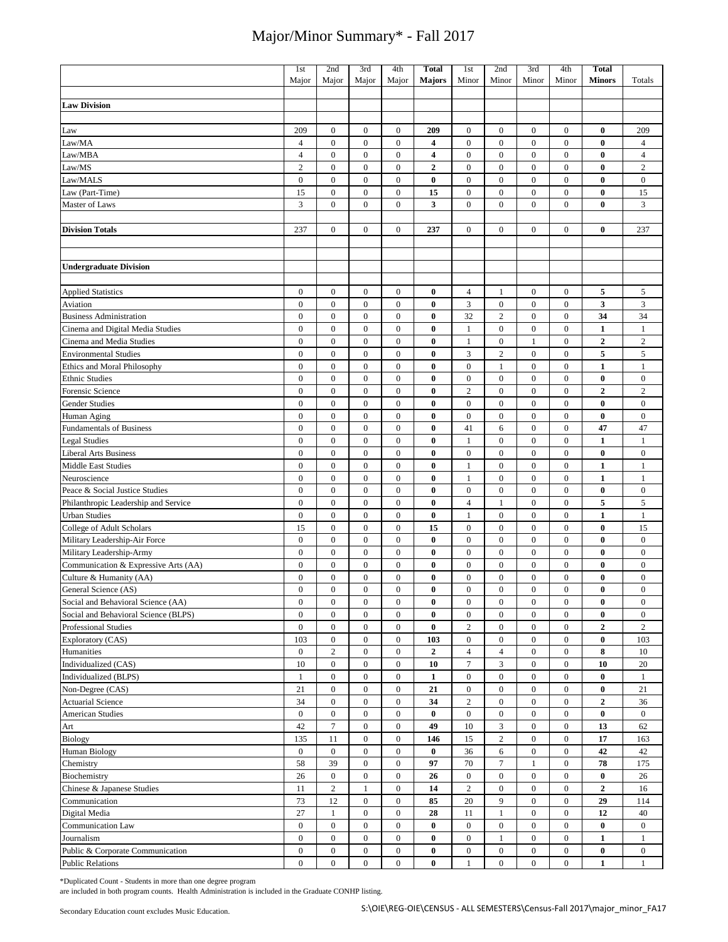|                                      | 1st              | 2nd              | 3rd              | 4th              | <b>Total</b>     | 1st              | 2nd              | 3rd              | 4th              | <b>Total</b>     |                  |
|--------------------------------------|------------------|------------------|------------------|------------------|------------------|------------------|------------------|------------------|------------------|------------------|------------------|
|                                      | Major            | Major            | Major            | Major            | <b>Majors</b>    | Minor            | Minor            | Minor            | Minor            | <b>Minors</b>    | Totals           |
|                                      |                  |                  |                  |                  |                  |                  |                  |                  |                  |                  |                  |
| <b>Law Division</b>                  |                  |                  |                  |                  |                  |                  |                  |                  |                  |                  |                  |
|                                      |                  |                  |                  |                  |                  |                  |                  |                  |                  |                  |                  |
| Law                                  | 209              | $\boldsymbol{0}$ | $\boldsymbol{0}$ | $\boldsymbol{0}$ | 209              | $\boldsymbol{0}$ | $\boldsymbol{0}$ | $\bf{0}$         | $\mathbf{0}$     | $\bf{0}$         | 209              |
| Law/MA                               | $\overline{4}$   | $\boldsymbol{0}$ | $\boldsymbol{0}$ | $\boldsymbol{0}$ | 4                | $\boldsymbol{0}$ | $\boldsymbol{0}$ | $\mathbf{0}$     | $\mathbf{0}$     | $\bf{0}$         | $\overline{4}$   |
| Law/MBA                              | $\overline{4}$   | $\boldsymbol{0}$ | $\boldsymbol{0}$ | $\boldsymbol{0}$ | 4                | $\boldsymbol{0}$ | $\boldsymbol{0}$ | $\mathbf{0}$     | $\boldsymbol{0}$ | $\bf{0}$         | $\overline{4}$   |
| Law/MS                               | $\overline{c}$   | $\boldsymbol{0}$ | $\boldsymbol{0}$ | $\boldsymbol{0}$ | $\overline{2}$   | $\boldsymbol{0}$ | $\boldsymbol{0}$ | $\boldsymbol{0}$ | $\boldsymbol{0}$ | $\bf{0}$         | $\overline{c}$   |
| Law/MALS                             | $\mathbf{0}$     | $\boldsymbol{0}$ | $\boldsymbol{0}$ | $\boldsymbol{0}$ | $\bf{0}$         | $\boldsymbol{0}$ | $\boldsymbol{0}$ | $\boldsymbol{0}$ | $\mathbf{0}$     | $\bf{0}$         | $\boldsymbol{0}$ |
| Law (Part-Time)                      | 15               | $\boldsymbol{0}$ | $\boldsymbol{0}$ | $\boldsymbol{0}$ | 15               | $\boldsymbol{0}$ | $\boldsymbol{0}$ | $\mathbf{0}$     | $\mathbf{0}$     | $\bf{0}$         | 15               |
| Master of Laws                       | 3                | $\mathbf{0}$     | $\overline{0}$   | $\overline{0}$   | 3                | $\mathbf{0}$     | $\mathbf{0}$     | $\mathbf{0}$     | $\mathbf{0}$     | $\bf{0}$         | 3                |
|                                      |                  |                  |                  |                  |                  |                  |                  |                  |                  |                  |                  |
| <b>Division Totals</b>               | 237              | $\boldsymbol{0}$ | $\boldsymbol{0}$ | $\boldsymbol{0}$ | 237              | $\boldsymbol{0}$ | $\boldsymbol{0}$ | $\mathbf{0}$     | $\mathbf{0}$     | $\bf{0}$         | 237              |
|                                      |                  |                  |                  |                  |                  |                  |                  |                  |                  |                  |                  |
|                                      |                  |                  |                  |                  |                  |                  |                  |                  |                  |                  |                  |
| <b>Undergraduate Division</b>        |                  |                  |                  |                  |                  |                  |                  |                  |                  |                  |                  |
|                                      |                  |                  |                  |                  |                  |                  |                  |                  |                  |                  |                  |
| <b>Applied Statistics</b>            | $\bf{0}$         | $\bf{0}$         | $\boldsymbol{0}$ | $\boldsymbol{0}$ | 0                | $\overline{4}$   | $\mathbf{1}$     | $\bf{0}$         | $\mathbf{0}$     | 5                | 5                |
| Aviation                             | $\boldsymbol{0}$ | $\boldsymbol{0}$ | $\boldsymbol{0}$ | $\boldsymbol{0}$ | $\bf{0}$         | 3                | $\boldsymbol{0}$ | $\bf{0}$         | $\mathbf{0}$     | 3                | 3                |
| <b>Business Administration</b>       | $\boldsymbol{0}$ | $\boldsymbol{0}$ | $\boldsymbol{0}$ | $\boldsymbol{0}$ | $\bf{0}$         | 32               | $\overline{c}$   | $\bf{0}$         | $\boldsymbol{0}$ | 34               | 34               |
| Cinema and Digital Media Studies     | $\boldsymbol{0}$ | $\boldsymbol{0}$ | $\boldsymbol{0}$ | $\boldsymbol{0}$ | $\bf{0}$         | $\mathbf{1}$     | $\boldsymbol{0}$ | $\bf{0}$         | $\mathbf{0}$     | $\mathbf{1}$     | $\mathbf{1}$     |
| Cinema and Media Studies             | $\boldsymbol{0}$ | $\boldsymbol{0}$ | $\boldsymbol{0}$ | $\boldsymbol{0}$ | $\bf{0}$         | $\mathbf{1}$     | $\boldsymbol{0}$ | $\mathbf{1}$     | $\boldsymbol{0}$ | $\overline{2}$   | $\sqrt{2}$       |
| <b>Environmental Studies</b>         | $\mathbf 0$      | $\boldsymbol{0}$ | $\boldsymbol{0}$ | $\boldsymbol{0}$ | $\bf{0}$         | $\overline{3}$   | $\overline{2}$   | $\mathbf{0}$     | $\mathbf{0}$     | 5                | 5                |
| Ethics and Moral Philosophy          | $\boldsymbol{0}$ | $\boldsymbol{0}$ | $\boldsymbol{0}$ | $\boldsymbol{0}$ | $\bf{0}$         | $\boldsymbol{0}$ | $\mathbf{1}$     | $\mathbf{0}$     | $\mathbf{0}$     | $\mathbf{1}$     | $\mathbf{1}$     |
| <b>Ethnic Studies</b>                | $\boldsymbol{0}$ | $\boldsymbol{0}$ | $\boldsymbol{0}$ | $\boldsymbol{0}$ | $\bf{0}$         | $\boldsymbol{0}$ | $\boldsymbol{0}$ | $\bf{0}$         | $\boldsymbol{0}$ | $\bf{0}$         | $\boldsymbol{0}$ |
| Forensic Science                     | $\boldsymbol{0}$ | $\boldsymbol{0}$ | $\boldsymbol{0}$ | $\boldsymbol{0}$ | $\bf{0}$         | $\sqrt{2}$       | $\boldsymbol{0}$ | $\bf{0}$         | $\boldsymbol{0}$ | $\mathbf{2}$     | $\sqrt{2}$       |
| Gender Studies                       | $\boldsymbol{0}$ | $\boldsymbol{0}$ | $\boldsymbol{0}$ | $\boldsymbol{0}$ | $\bf{0}$         | $\boldsymbol{0}$ | $\boldsymbol{0}$ | $\boldsymbol{0}$ | $\boldsymbol{0}$ | $\bf{0}$         | $\boldsymbol{0}$ |
| Human Aging                          | $\boldsymbol{0}$ | $\boldsymbol{0}$ | $\boldsymbol{0}$ | $\boldsymbol{0}$ | $\bf{0}$         | $\boldsymbol{0}$ | $\boldsymbol{0}$ | $\boldsymbol{0}$ | $\mathbf{0}$     | $\bf{0}$         | $\bf{0}$         |
| <b>Fundamentals of Business</b>      | $\boldsymbol{0}$ | $\boldsymbol{0}$ | $\boldsymbol{0}$ | $\boldsymbol{0}$ | $\bf{0}$         | 41               | 6                | $\boldsymbol{0}$ | $\boldsymbol{0}$ | 47               | 47               |
| <b>Legal Studies</b>                 | $\mathbf{0}$     | $\mathbf{0}$     | $\mathbf{0}$     | $\boldsymbol{0}$ | $\bf{0}$         | $\mathbf{1}$     | $\boldsymbol{0}$ | $\boldsymbol{0}$ | $\boldsymbol{0}$ | $\mathbf 1$      | $\mathbf{1}$     |
| <b>Liberal Arts Business</b>         | $\boldsymbol{0}$ | $\boldsymbol{0}$ | $\boldsymbol{0}$ | $\boldsymbol{0}$ | $\bf{0}$         | $\boldsymbol{0}$ | $\boldsymbol{0}$ | $\boldsymbol{0}$ | $\boldsymbol{0}$ | $\bf{0}$         | $\boldsymbol{0}$ |
| Middle East Studies                  | $\mathbf{0}$     | $\overline{0}$   | $\overline{0}$   | $\boldsymbol{0}$ | $\bf{0}$         | $\mathbf{1}$     | $\boldsymbol{0}$ | $\overline{0}$   | $\mathbf{0}$     | $\mathbf{1}$     | $\mathbf{1}$     |
| Neuroscience                         | $\boldsymbol{0}$ | $\boldsymbol{0}$ | $\boldsymbol{0}$ | $\boldsymbol{0}$ | $\bf{0}$         | $\mathbf{1}$     | $\boldsymbol{0}$ | $\boldsymbol{0}$ | $\boldsymbol{0}$ | 1                | $\mathbf{1}$     |
| Peace & Social Justice Studies       | $\overline{0}$   | $\overline{0}$   | $\overline{0}$   | $\overline{0}$   | $\bf{0}$         | $\boldsymbol{0}$ | $\boldsymbol{0}$ | $\overline{0}$   | $\mathbf{0}$     | $\bf{0}$         | $\mathbf{0}$     |
| Philanthropic Leadership and Service | $\boldsymbol{0}$ | $\boldsymbol{0}$ | $\boldsymbol{0}$ | $\boldsymbol{0}$ | $\bf{0}$         | $\overline{4}$   | $\mathbf{1}$     | $\boldsymbol{0}$ | $\boldsymbol{0}$ | 5                | 5                |
| <b>Urban Studies</b>                 | $\boldsymbol{0}$ | $\boldsymbol{0}$ | $\boldsymbol{0}$ | $\boldsymbol{0}$ | $\bf{0}$         | $\mathbf{1}$     | $\boldsymbol{0}$ | $\boldsymbol{0}$ | $\mathbf{0}$     | $\mathbf{1}$     | $\mathbf{1}$     |
| College of Adult Scholars            | 15               | $\boldsymbol{0}$ | $\boldsymbol{0}$ | $\boldsymbol{0}$ | 15               | $\boldsymbol{0}$ | $\boldsymbol{0}$ | $\mathbf{0}$     | $\mathbf{0}$     | $\bf{0}$         | 15               |
| Military Leadership-Air Force        | $\boldsymbol{0}$ | $\boldsymbol{0}$ | $\boldsymbol{0}$ | $\boldsymbol{0}$ | $\bf{0}$         | $\boldsymbol{0}$ | $\boldsymbol{0}$ | $\boldsymbol{0}$ | $\mathbf{0}$     | $\bf{0}$         | $\boldsymbol{0}$ |
| Military Leadership-Army             | $\boldsymbol{0}$ | $\boldsymbol{0}$ | $\boldsymbol{0}$ | $\boldsymbol{0}$ | $\bf{0}$         | $\boldsymbol{0}$ | $\bf{0}$         | $\bf{0}$         | $\boldsymbol{0}$ | $\bf{0}$         | $\boldsymbol{0}$ |
| Communication & Expressive Arts (AA) | $\boldsymbol{0}$ | $\boldsymbol{0}$ | $\boldsymbol{0}$ | $\boldsymbol{0}$ | 0                | $\boldsymbol{0}$ | $\boldsymbol{0}$ | $\boldsymbol{0}$ | $\mathbf{0}$     | $\bf{0}$         | $\boldsymbol{0}$ |
| Culture & Humanity (AA)              | $\mathbf{0}$     | $\boldsymbol{0}$ | $\boldsymbol{0}$ | $\boldsymbol{0}$ | $\bf{0}$         | $\boldsymbol{0}$ | $\boldsymbol{0}$ | $\mathbf{0}$     | $\mathbf{0}$     | $\bf{0}$         | $\boldsymbol{0}$ |
| General Science (AS)                 | $\mathbf{0}$     | $\boldsymbol{0}$ | $\mathbf{0}$     | $\mathbf{0}$     | 0                | $\mathbf{0}$     | $\mathbf{0}$     | $\mathbf{0}$     | $\mathbf{0}$     | $\bf{0}$         | $\mathbf{0}$     |
| Social and Behavioral Science (AA)   | $\boldsymbol{0}$ | $\boldsymbol{0}$ | $\boldsymbol{0}$ | $\boldsymbol{0}$ | 0                | $\boldsymbol{0}$ | $\boldsymbol{0}$ | $\boldsymbol{0}$ | $\boldsymbol{0}$ | $\bf{0}$         | $\bf{0}$         |
| Social and Behavioral Science (BLPS) | $\boldsymbol{0}$ | $\boldsymbol{0}$ | $\boldsymbol{0}$ | $\boldsymbol{0}$ | $\bf{0}$         | $\boldsymbol{0}$ | $\boldsymbol{0}$ | $\bf{0}$         | $\boldsymbol{0}$ | $\bf{0}$         | $\bf{0}$         |
| Professional Studies                 | $\boldsymbol{0}$ | $\boldsymbol{0}$ | $\boldsymbol{0}$ | $\boldsymbol{0}$ | $\bf{0}$         | $\overline{c}$   | $\boldsymbol{0}$ | $\boldsymbol{0}$ | $\boldsymbol{0}$ | $\mathbf{2}$     | $\overline{2}$   |
| Exploratory (CAS)                    | 103              | $\boldsymbol{0}$ | $\boldsymbol{0}$ | $\boldsymbol{0}$ | 103              | $\boldsymbol{0}$ | $\boldsymbol{0}$ | $\boldsymbol{0}$ | $\boldsymbol{0}$ | $\bf{0}$         | 103              |
| Humanities                           | $\boldsymbol{0}$ | $\overline{c}$   | $\boldsymbol{0}$ | $\boldsymbol{0}$ | $\boldsymbol{2}$ | $\overline{4}$   | $\overline{4}$   | $\boldsymbol{0}$ | $\boldsymbol{0}$ | 8                | 10               |
| Individualized (CAS)                 | 10               | $\boldsymbol{0}$ | $\boldsymbol{0}$ | $\boldsymbol{0}$ | 10               | $\tau$           | 3                | $\boldsymbol{0}$ | $\boldsymbol{0}$ | 10               | 20               |
| Individualized (BLPS)                | $\mathbf{1}$     | $\boldsymbol{0}$ | $\boldsymbol{0}$ | $\boldsymbol{0}$ | $\mathbf{1}$     | $\boldsymbol{0}$ | $\boldsymbol{0}$ | $\boldsymbol{0}$ | $\boldsymbol{0}$ | $\bf{0}$         | $\mathbf{1}$     |
| Non-Degree (CAS)                     | 21               | $\boldsymbol{0}$ | $\boldsymbol{0}$ | $\boldsymbol{0}$ | 21               | $\boldsymbol{0}$ | $\boldsymbol{0}$ | $\boldsymbol{0}$ | $\boldsymbol{0}$ | $\bf{0}$         | 21               |
| <b>Actuarial Science</b>             | 34               | $\boldsymbol{0}$ | $\boldsymbol{0}$ | $\overline{0}$   | 34               | $\sqrt{2}$       | $\bf{0}$         | $\bf{0}$         | $\bf{0}$         | $\mathbf{2}$     | 36               |
| <b>American Studies</b>              | $\bf{0}$         | $\boldsymbol{0}$ | $\boldsymbol{0}$ | $\boldsymbol{0}$ | $\bf{0}$         | $\boldsymbol{0}$ | $\boldsymbol{0}$ | $\bf{0}$         | $\boldsymbol{0}$ | $\bf{0}$         | $\overline{0}$   |
| Art                                  | 42               | $\boldsymbol{7}$ | $\boldsymbol{0}$ | $\bf{0}$         | 49               | 10               | $\mathfrak{Z}$   | $\bf{0}$         | $\boldsymbol{0}$ | 13               | 62               |
| <b>Biology</b>                       | 135              | 11               | $\boldsymbol{0}$ | $\bf{0}$         | 146              | 15               | $\overline{c}$   | $\bf{0}$         | $\boldsymbol{0}$ | 17               | 163              |
| <b>Human Biology</b>                 | $\bf{0}$         | $\boldsymbol{0}$ | $\overline{0}$   | $\boldsymbol{0}$ | $\bf{0}$         | 36               | 6                | $\bf{0}$         | $\boldsymbol{0}$ | 42               | 42               |
| Chemistry                            | 58               | 39               | $\boldsymbol{0}$ | $\boldsymbol{0}$ | 97               | 70               | $\tau$           | 1                | $\boldsymbol{0}$ | 78               | 175              |
| Biochemistry                         | 26               | $\boldsymbol{0}$ | $\boldsymbol{0}$ | $\boldsymbol{0}$ | 26               | $\boldsymbol{0}$ | $\boldsymbol{0}$ | $\boldsymbol{0}$ | $\boldsymbol{0}$ | $\bf{0}$         | 26               |
| Chinese & Japanese Studies           | 11               | $\sqrt{2}$       | $\mathbf{1}$     | $\boldsymbol{0}$ | 14               | $\sqrt{2}$       | $\boldsymbol{0}$ | $\boldsymbol{0}$ | $\boldsymbol{0}$ | $\boldsymbol{2}$ | 16               |
| Communication                        | 73               | 12               | $\boldsymbol{0}$ | $\boldsymbol{0}$ | 85               | 20               | 9                | $\boldsymbol{0}$ | $\boldsymbol{0}$ | 29               | 114              |
| Digital Media                        | 27               | $\mathbf{1}$     | $\boldsymbol{0}$ | $\boldsymbol{0}$ | 28               | 11               | $\mathbf{1}$     | $\boldsymbol{0}$ | $\boldsymbol{0}$ | 12               | 40               |
| Communication Law                    | $\boldsymbol{0}$ | $\boldsymbol{0}$ | $\boldsymbol{0}$ | $\boldsymbol{0}$ | $\bf{0}$         | $\boldsymbol{0}$ | $\boldsymbol{0}$ | $\boldsymbol{0}$ | $\boldsymbol{0}$ | $\bf{0}$         | $\bf{0}$         |
| Journalism                           | $\boldsymbol{0}$ | $\boldsymbol{0}$ | $\boldsymbol{0}$ | $\boldsymbol{0}$ | $\bf{0}$         | $\boldsymbol{0}$ | $\mathbf{1}$     | $\boldsymbol{0}$ | $\boldsymbol{0}$ | $\mathbf{1}$     | $\mathbf{1}$     |
| Public & Corporate Communication     | $\boldsymbol{0}$ | $\boldsymbol{0}$ | $\boldsymbol{0}$ | $\boldsymbol{0}$ | $\bf{0}$         | $\boldsymbol{0}$ | $\boldsymbol{0}$ | $\boldsymbol{0}$ | $\boldsymbol{0}$ | $\pmb{0}$        | $\overline{0}$   |
| <b>Public Relations</b>              | $\boldsymbol{0}$ | $\boldsymbol{0}$ | $\boldsymbol{0}$ | $\boldsymbol{0}$ | $\bf{0}$         | 1                | $\boldsymbol{0}$ | $\boldsymbol{0}$ | $\mathbf{0}$     | $\mathbf{1}$     | $\mathbf{1}$     |

\*Duplicated Count - Students in more than one degree program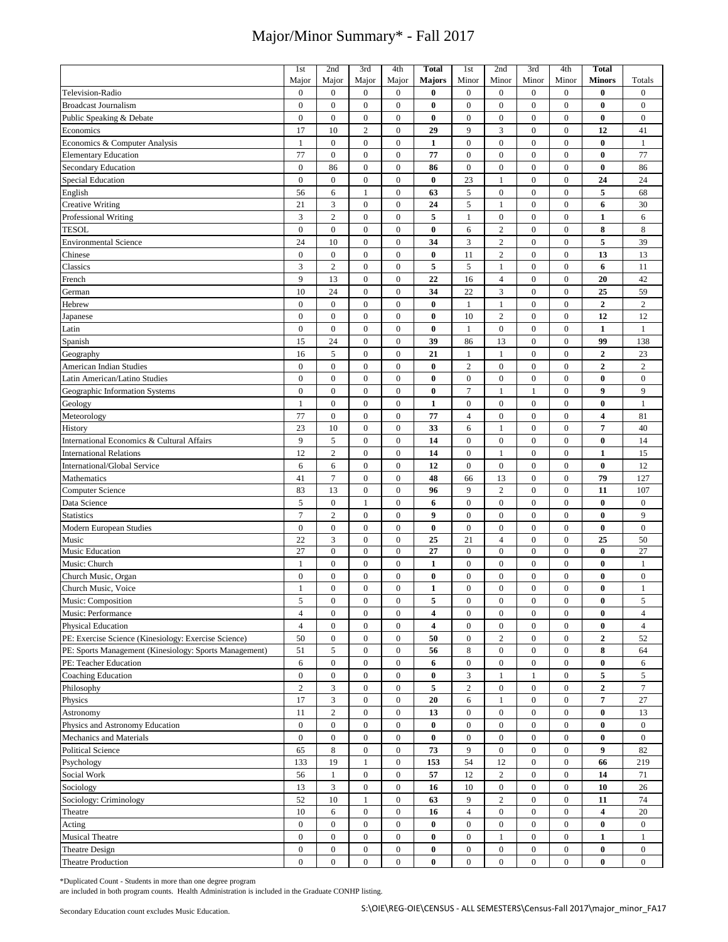|                                                        | 1st              | 2nd                     | 3rd                                  | 4th                                  | <b>Total</b>            | 1st                    | 2nd              | 3rd                                  | 4th                                  | <b>Total</b>     |                  |
|--------------------------------------------------------|------------------|-------------------------|--------------------------------------|--------------------------------------|-------------------------|------------------------|------------------|--------------------------------------|--------------------------------------|------------------|------------------|
|                                                        | Major            | Major                   | Major                                | Major                                | <b>Majors</b>           | Minor                  | Minor            | Minor                                | Minor                                | Minors           | Totals           |
| Television-Radio                                       | $\boldsymbol{0}$ | $\boldsymbol{0}$        | $\boldsymbol{0}$                     | $\boldsymbol{0}$                     | $\bf{0}$                | $\boldsymbol{0}$       | $\boldsymbol{0}$ | $\boldsymbol{0}$                     | $\boldsymbol{0}$                     | $\bf{0}$         | $\boldsymbol{0}$ |
| <b>Broadcast Journalism</b>                            | $\mathbf{0}$     | $\boldsymbol{0}$        | $\boldsymbol{0}$                     | $\boldsymbol{0}$                     | 0                       | $\boldsymbol{0}$       | $\mathbf{0}$     | $\boldsymbol{0}$                     | $\mathbf{0}$                         | $\bf{0}$         | $\boldsymbol{0}$ |
|                                                        |                  |                         |                                      | $\boldsymbol{0}$                     |                         |                        |                  |                                      |                                      |                  |                  |
| Public Speaking & Debate                               | $\boldsymbol{0}$ | $\boldsymbol{0}$        | $\boldsymbol{0}$                     |                                      | $\bf{0}$                | $\boldsymbol{0}$       | $\boldsymbol{0}$ | $\boldsymbol{0}$                     | $\boldsymbol{0}$                     | $\bf{0}$         | $\boldsymbol{0}$ |
| Economics                                              | 17               | 10                      | $\sqrt{2}$                           | $\boldsymbol{0}$                     | 29                      | 9                      | 3                | $\boldsymbol{0}$                     | $\overline{0}$                       | 12               | 41               |
| Economics & Computer Analysis                          | 1                | $\boldsymbol{0}$        | $\boldsymbol{0}$                     | $\boldsymbol{0}$                     | $\mathbf{1}$            | $\boldsymbol{0}$       | $\boldsymbol{0}$ | $\boldsymbol{0}$                     | $\boldsymbol{0}$                     | $\bf{0}$         | $\mathbf{1}$     |
| <b>Elementary Education</b>                            | 77               | $\overline{0}$          | $\mathbf{0}$                         | $\overline{0}$                       | 77                      | $\boldsymbol{0}$       | $\boldsymbol{0}$ | $\boldsymbol{0}$                     | $\mathbf{0}$                         | $\bf{0}$         | 77               |
| Secondary Education                                    | $\boldsymbol{0}$ | 86                      | $\boldsymbol{0}$                     | $\boldsymbol{0}$                     | 86                      | $\boldsymbol{0}$       | $\boldsymbol{0}$ | $\boldsymbol{0}$                     | $\boldsymbol{0}$                     | $\bf{0}$         | 86               |
| <b>Special Education</b>                               | $\mathbf{0}$     | $\overline{0}$          | $\boldsymbol{0}$                     | $\boldsymbol{0}$                     | $\bf{0}$                | 23                     | $\mathbf{1}$     | $\boldsymbol{0}$                     | $\boldsymbol{0}$                     | 24               | 24               |
| English                                                | 56               | 6                       | 1                                    | $\mathbf{0}$                         | 63                      | 5                      | $\boldsymbol{0}$ | $\mathbf{0}$                         | $\mathbf{0}$                         | 5                | 68               |
| <b>Creative Writing</b>                                | 21               | 3                       | $\boldsymbol{0}$                     | $\boldsymbol{0}$                     | 24                      | 5                      | $\mathbf{1}$     | $\boldsymbol{0}$                     | $\overline{0}$                       | 6                | 30               |
| Professional Writing                                   | 3                | $\overline{c}$          | $\boldsymbol{0}$                     | $\boldsymbol{0}$                     | 5                       | $\mathbf{1}$           | $\boldsymbol{0}$ | $\boldsymbol{0}$                     | $\boldsymbol{0}$                     | $\mathbf{1}$     | 6                |
| <b>TESOL</b>                                           | $\mathbf{0}$     | $\overline{0}$          | $\boldsymbol{0}$                     | $\boldsymbol{0}$                     | $\bf{0}$                | 6                      | $\sqrt{2}$       | $\boldsymbol{0}$                     | $\overline{0}$                       | 8                | 8                |
| <b>Environmental Science</b>                           | 24               | 10                      | $\boldsymbol{0}$                     | $\boldsymbol{0}$                     | 34                      | 3                      | $\sqrt{2}$       | $\boldsymbol{0}$                     | $\mathbf{0}$                         | 5                | 39               |
|                                                        |                  |                         |                                      |                                      |                         |                        |                  |                                      |                                      |                  |                  |
| Chinese                                                | $\boldsymbol{0}$ | $\boldsymbol{0}$        | $\boldsymbol{0}$                     | $\boldsymbol{0}$                     | $\bf{0}$                | 11                     | $\overline{2}$   | $\boldsymbol{0}$                     | $\boldsymbol{0}$                     | 13               | 13               |
| Classics                                               | 3                | $\overline{c}$          | $\boldsymbol{0}$                     | $\boldsymbol{0}$                     | 5                       | 5                      | $\mathbf{1}$     | $\boldsymbol{0}$                     | $\boldsymbol{0}$                     | 6                | 11               |
| French                                                 | 9                | 13                      | $\boldsymbol{0}$                     | $\boldsymbol{0}$                     | 22                      | 16                     | $\overline{4}$   | $\boldsymbol{0}$                     | $\boldsymbol{0}$                     | 20               | 42               |
| German                                                 | 10               | 24                      | $\boldsymbol{0}$                     | $\boldsymbol{0}$                     | 34                      | 22                     | 3                | $\boldsymbol{0}$                     | $\boldsymbol{0}$                     | 25               | 59               |
| Hebrew                                                 | $\boldsymbol{0}$ | $\boldsymbol{0}$        | $\boldsymbol{0}$                     | $\boldsymbol{0}$                     | $\bf{0}$                | $\mathbf{1}$           | $\mathbf{1}$     | $\boldsymbol{0}$                     | $\boldsymbol{0}$                     | $\overline{2}$   | $\sqrt{2}$       |
| Japanese                                               | $\boldsymbol{0}$ | $\overline{0}$          | $\boldsymbol{0}$                     | $\boldsymbol{0}$                     | $\bf{0}$                | 10                     | $\overline{2}$   | $\boldsymbol{0}$                     | $\boldsymbol{0}$                     | 12               | 12               |
| Latin                                                  | $\boldsymbol{0}$ | $\boldsymbol{0}$        | $\boldsymbol{0}$                     | $\boldsymbol{0}$                     | $\bf{0}$                | $\mathbf{1}$           | $\boldsymbol{0}$ | $\boldsymbol{0}$                     | $\boldsymbol{0}$                     | $\mathbf{1}$     | $\mathbf{1}$     |
| Spanish                                                | 15               | 24                      | $\boldsymbol{0}$                     | $\boldsymbol{0}$                     | 39                      | 86                     | 13               | $\boldsymbol{0}$                     | $\boldsymbol{0}$                     | 99               | 138              |
| Geography                                              | 16               | 5                       | $\boldsymbol{0}$                     | $\boldsymbol{0}$                     | 21                      | $\mathbf{1}$           | $\mathbf{1}$     | $\boldsymbol{0}$                     | $\mathbf{0}$                         | $\overline{2}$   | 23               |
| American Indian Studies                                | $\overline{0}$   | $\boldsymbol{0}$        | $\boldsymbol{0}$                     | $\boldsymbol{0}$                     | $\bf{0}$                | $\overline{c}$         | $\boldsymbol{0}$ | $\boldsymbol{0}$                     | $\mathbf{0}$                         | $\boldsymbol{2}$ | $\sqrt{2}$       |
| Latin American/Latino Studies                          | $\overline{0}$   | $\boldsymbol{0}$        | $\boldsymbol{0}$                     | $\boldsymbol{0}$                     | $\bf{0}$                | $\boldsymbol{0}$       | $\boldsymbol{0}$ | $\boldsymbol{0}$                     | $\boldsymbol{0}$                     | $\bf{0}$         | $\bf{0}$         |
|                                                        |                  |                         |                                      |                                      |                         |                        |                  |                                      |                                      | $\boldsymbol{9}$ |                  |
| Geographic Information Systems                         | $\overline{0}$   | $\boldsymbol{0}$        | $\boldsymbol{0}$                     | $\boldsymbol{0}$                     | $\bf{0}$                | $\overline{7}$         | $\mathbf{1}$     | $\mathbf{1}$                         | $\boldsymbol{0}$                     |                  | 9                |
| Geology                                                | 1                | $\boldsymbol{0}$        | $\boldsymbol{0}$                     | $\boldsymbol{0}$                     | 1                       | $\boldsymbol{0}$       | $\boldsymbol{0}$ | $\boldsymbol{0}$                     | $\boldsymbol{0}$                     | $\bf{0}$         | $\mathbf{1}$     |
| Meteorology                                            | 77               | $\boldsymbol{0}$        | $\boldsymbol{0}$                     | $\boldsymbol{0}$                     | 77                      | $\overline{4}$         | $\boldsymbol{0}$ | $\boldsymbol{0}$                     | $\boldsymbol{0}$                     | 4                | 81               |
| History                                                | 23               | 10                      | $\boldsymbol{0}$                     | $\boldsymbol{0}$                     | 33                      | 6                      | $\mathbf{1}$     | $\boldsymbol{0}$                     | $\boldsymbol{0}$                     | $\overline{7}$   | 40               |
| International Economics & Cultural Affairs             | 9                | 5                       | $\boldsymbol{0}$                     | $\boldsymbol{0}$                     | 14                      | $\boldsymbol{0}$       | $\mathbf{0}$     | $\boldsymbol{0}$                     | $\overline{0}$                       | $\bf{0}$         | 14               |
| <b>International Relations</b>                         | 12               | $\overline{c}$          | $\boldsymbol{0}$                     | $\boldsymbol{0}$                     | 14                      | $\boldsymbol{0}$       | $\mathbf{1}$     | $\boldsymbol{0}$                     | $\boldsymbol{0}$                     | $\mathbf{1}$     | 15               |
| International/Global Service                           | 6                | 6                       | $\boldsymbol{0}$                     | $\boldsymbol{0}$                     | 12                      | $\boldsymbol{0}$       | $\boldsymbol{0}$ | $\boldsymbol{0}$                     | $\overline{0}$                       | $\bf{0}$         | 12               |
| Mathematics                                            | 41               | $\overline{7}$          | $\boldsymbol{0}$                     | $\boldsymbol{0}$                     | 48                      | 66                     | 13               | $\boldsymbol{0}$                     | $\boldsymbol{0}$                     | 79               | 127              |
| <b>Computer Science</b>                                | 83               | 13                      | $\mathbf{0}$                         | $\mathbf{0}$                         | 96                      | 9                      | $\overline{c}$   | $\boldsymbol{0}$                     | $\mathbf{0}$                         | 11               | 107              |
| Data Science                                           | 5                | $\boldsymbol{0}$        | $\mathbf{1}$                         | $\boldsymbol{0}$                     | 6                       | $\boldsymbol{0}$       | $\boldsymbol{0}$ | $\boldsymbol{0}$                     | $\boldsymbol{0}$                     | $\bf{0}$         | $\boldsymbol{0}$ |
| <b>Statistics</b>                                      | $\overline{7}$   | $\overline{c}$          | $\boldsymbol{0}$                     | $\boldsymbol{0}$                     | 9                       | $\boldsymbol{0}$       | $\boldsymbol{0}$ | $\boldsymbol{0}$                     | $\boldsymbol{0}$                     | $\bf{0}$         | 9                |
| <b>Modern European Studies</b>                         | $\mathbf{0}$     | $\overline{0}$          | $\boldsymbol{0}$                     | $\boldsymbol{0}$                     | $\bf{0}$                | $\boldsymbol{0}$       | $\boldsymbol{0}$ | $\boldsymbol{0}$                     | $\boldsymbol{0}$                     | $\bf{0}$         | $\boldsymbol{0}$ |
|                                                        |                  | 3                       |                                      |                                      |                         |                        | $\overline{4}$   |                                      |                                      |                  |                  |
| Music                                                  | 22<br>27         | $\boldsymbol{0}$        | $\boldsymbol{0}$<br>$\boldsymbol{0}$ | $\boldsymbol{0}$<br>$\boldsymbol{0}$ | 25<br>27                | 21<br>$\boldsymbol{0}$ | $\boldsymbol{0}$ | $\boldsymbol{0}$<br>$\boldsymbol{0}$ | $\boldsymbol{0}$<br>$\boldsymbol{0}$ | 25<br>$\bf{0}$   | 50               |
| Music Education                                        |                  |                         |                                      |                                      |                         |                        |                  |                                      |                                      |                  | 27               |
| Music: Church                                          | 1                | $\boldsymbol{0}$        | $\boldsymbol{0}$                     | $\boldsymbol{0}$                     | $\mathbf{1}$            | $\boldsymbol{0}$       | $\boldsymbol{0}$ | $\boldsymbol{0}$                     | $\boldsymbol{0}$                     | $\bf{0}$         | $\mathbf{1}$     |
| Church Music, Organ                                    | $\overline{0}$   | $\overline{0}$          | $\boldsymbol{0}$                     | $\boldsymbol{0}$                     | $\bf{0}$                | $\boldsymbol{0}$       | $\boldsymbol{0}$ | $\boldsymbol{0}$                     | $\overline{0}$                       | $\bf{0}$         | $\boldsymbol{0}$ |
| Church Music, Voice                                    | 1                | $\overline{0}$          | $\boldsymbol{0}$                     | $\boldsymbol{0}$                     | $\mathbf{1}$            | $\overline{0}$         | $\mathbf{0}$     | $\overline{0}$                       | $\overline{0}$                       | $\bf{0}$         | 1                |
| Music: Composition                                     | 5                | $\boldsymbol{0}$        | $\boldsymbol{0}$                     | $\boldsymbol{0}$                     | 5                       | $\boldsymbol{0}$       | $\boldsymbol{0}$ | $\boldsymbol{0}$                     | $\boldsymbol{0}$                     | $\pmb{0}$        | $\sqrt{5}$       |
| Music: Performance                                     | $\overline{4}$   | $\boldsymbol{0}$        | $\boldsymbol{0}$                     | $\boldsymbol{0}$                     | $\overline{\mathbf{4}}$ | $\boldsymbol{0}$       | $\boldsymbol{0}$ | $\boldsymbol{0}$                     | $\boldsymbol{0}$                     | $\bf{0}$         | $\overline{4}$   |
| Physical Education                                     | $\overline{4}$   | $\boldsymbol{0}$        | $\boldsymbol{0}$                     | $\boldsymbol{0}$                     | 4                       | $\boldsymbol{0}$       | $\boldsymbol{0}$ | $\boldsymbol{0}$                     | $\boldsymbol{0}$                     | $\bf{0}$         | $\overline{4}$   |
| PE: Exercise Science (Kinesiology: Exercise Science)   | 50               | $\boldsymbol{0}$        | $\boldsymbol{0}$                     | $\boldsymbol{0}$                     | 50                      | $\boldsymbol{0}$       | $\sqrt{2}$       | $\boldsymbol{0}$                     | $\boldsymbol{0}$                     | $\mathbf{2}$     | 52               |
| PE: Sports Management (Kinesiology: Sports Management) | 51               | 5                       | $\boldsymbol{0}$                     | $\boldsymbol{0}$                     | 56                      | 8                      | $\boldsymbol{0}$ | $\boldsymbol{0}$                     | $\mathbf{0}$                         | 8                | 64               |
| PE: Teacher Education                                  | 6                | $\overline{0}$          | $\boldsymbol{0}$                     | $\boldsymbol{0}$                     | 6                       | $\boldsymbol{0}$       | $\boldsymbol{0}$ | $\boldsymbol{0}$                     | $\boldsymbol{0}$                     | $\bf{0}$         | 6                |
| <b>Coaching Education</b>                              | $\boldsymbol{0}$ | $\boldsymbol{0}$        | $\boldsymbol{0}$                     | $\boldsymbol{0}$                     | $\bf{0}$                | 3                      | $\mathbf{1}$     | $\mathbf{1}$                         | $\boldsymbol{0}$                     | 5                | 5                |
| Philosophy                                             | $\overline{c}$   | 3                       | $\boldsymbol{0}$                     | $\boldsymbol{0}$                     | 5                       | $\overline{c}$         | $\boldsymbol{0}$ | $\boldsymbol{0}$                     | $\boldsymbol{0}$                     | $\mathbf{2}$     | $\tau$           |
| Physics                                                | 17               | $\overline{\mathbf{3}}$ | $\boldsymbol{0}$                     | $\boldsymbol{0}$                     | 20                      | 6                      | $\mathbf{1}$     | $\boldsymbol{0}$                     | $\boldsymbol{0}$                     | $\overline{7}$   | 27               |
|                                                        |                  | $\overline{c}$          |                                      | $\boldsymbol{0}$                     |                         |                        |                  | $\boldsymbol{0}$                     | $\boldsymbol{0}$                     | $\bf{0}$         |                  |
| Astronomy                                              | 11               |                         | $\boldsymbol{0}$                     |                                      | 13                      | $\boldsymbol{0}$       | $\boldsymbol{0}$ |                                      |                                      |                  | 13               |
| Physics and Astronomy Education                        | $\boldsymbol{0}$ | $\boldsymbol{0}$        | $\boldsymbol{0}$                     | $\boldsymbol{0}$                     | $\bf{0}$                | $\boldsymbol{0}$       | $\boldsymbol{0}$ | $\boldsymbol{0}$                     | $\boldsymbol{0}$                     | $\bf{0}$         | $\bf{0}$         |
| Mechanics and Materials                                | $\overline{0}$   | $\overline{0}$          | $\boldsymbol{0}$                     | $\boldsymbol{0}$                     | $\bf{0}$                | $\boldsymbol{0}$       | $\boldsymbol{0}$ | $\boldsymbol{0}$                     | $\boldsymbol{0}$                     | $\bf{0}$         | $\bf{0}$         |
| <b>Political Science</b>                               | 65               | 8                       | $\boldsymbol{0}$                     | $\boldsymbol{0}$                     | 73                      | 9                      | $\boldsymbol{0}$ | $\boldsymbol{0}$                     | $\boldsymbol{0}$                     | $\boldsymbol{9}$ | 82               |
| Psychology                                             | 133              | 19                      | $\mathbf{1}$                         | $\boldsymbol{0}$                     | 153                     | 54                     | 12               | $\boldsymbol{0}$                     | $\boldsymbol{0}$                     | 66               | 219              |
| Social Work                                            | 56               | $\mathbf{1}$            | $\boldsymbol{0}$                     | $\boldsymbol{0}$                     | 57                      | 12                     | $\sqrt{2}$       | $\boldsymbol{0}$                     | $\boldsymbol{0}$                     | 14               | 71               |
| Sociology                                              | 13               | $\overline{3}$          | $\boldsymbol{0}$                     | $\boldsymbol{0}$                     | 16                      | 10                     | $\boldsymbol{0}$ | $\boldsymbol{0}$                     | $\boldsymbol{0}$                     | 10               | 26               |
| Sociology: Criminology                                 | 52               | 10                      | $\mathbf{1}$                         | $\boldsymbol{0}$                     | 63                      | 9                      | $\sqrt{2}$       | $\boldsymbol{0}$                     | $\mathbf{0}$                         | 11               | 74               |
| Theatre                                                | 10               | 6                       | $\boldsymbol{0}$                     | $\boldsymbol{0}$                     | 16                      | $\overline{4}$         | $\boldsymbol{0}$ | $\boldsymbol{0}$                     | $\boldsymbol{0}$                     | 4                | 20               |
| Acting                                                 | $\boldsymbol{0}$ | $\boldsymbol{0}$        | $\boldsymbol{0}$                     | $\boldsymbol{0}$                     | $\bf{0}$                | $\boldsymbol{0}$       | $\boldsymbol{0}$ | $\boldsymbol{0}$                     | $\boldsymbol{0}$                     | $\bf{0}$         | $\bf{0}$         |
| <b>Musical Theatre</b>                                 | $\overline{0}$   | $\boldsymbol{0}$        | $\boldsymbol{0}$                     | $\boldsymbol{0}$                     | 0                       | $\boldsymbol{0}$       | 1                | $\boldsymbol{0}$                     | $\boldsymbol{0}$                     | 1                | $\mathbf{1}$     |
|                                                        |                  |                         |                                      |                                      |                         |                        |                  |                                      |                                      |                  |                  |
| <b>Theatre Design</b>                                  | $\boldsymbol{0}$ | $\overline{0}$          | $\boldsymbol{0}$                     | $\boldsymbol{0}$                     | $\bf{0}$                | $\boldsymbol{0}$       | $\boldsymbol{0}$ | $\boldsymbol{0}$                     | $\boldsymbol{0}$                     | $\bf{0}$         | $\boldsymbol{0}$ |
| Theatre Production                                     | $\overline{0}$   | $\overline{0}$          | $\boldsymbol{0}$                     | $\bf{0}$                             | $\bf{0}$                | $\boldsymbol{0}$       | $\boldsymbol{0}$ | $\boldsymbol{0}$                     | $\boldsymbol{0}$                     | $\bf{0}$         | $\bf{0}$         |

\*Duplicated Count - Students in more than one degree program